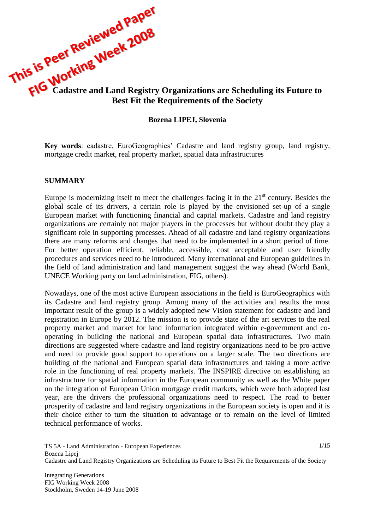

#### **Bozena LIPEJ, Slovenia**

**Key words**: cadastre, EuroGeographics' Cadastre and land registry group, land registry, mortgage credit market, real property market, spatial data infrastructures

#### **SUMMARY**

Europe is modernizing itself to meet the challenges facing it in the  $21<sup>st</sup>$  century. Besides the global scale of its drivers, a certain role is played by the envisioned set-up of a single European market with functioning financial and capital markets. Cadastre and land registry organizations are certainly not major players in the processes but without doubt they play a significant role in supporting processes. Ahead of all cadastre and land registry organizations there are many reforms and changes that need to be implemented in a short period of time. For better operation efficient, reliable, accessible, cost acceptable and user friendly procedures and services need to be introduced. Many international and European guidelines in the field of land administration and land management suggest the way ahead (World Bank, UNECE Working party on land administration, FIG, others).

Nowadays, one of the most active European associations in the field is EuroGeographics with its Cadastre and land registry group. Among many of the activities and results the most important result of the group is a widely adopted new Vision statement for cadastre and land registration in Europe by 2012. The mission is to provide state of the art services to the real property market and market for land information integrated within e-government and cooperating in building the national and European spatial data infrastructures. Two main directions are suggested where cadastre and land registry organizations need to be pro-active and need to provide good support to operations on a larger scale. The two directions are building of the national and European spatial data infrastructures and taking a more active role in the functioning of real property markets. The INSPIRE directive on establishing an infrastructure for spatial information in the European community as well as the White paper on the integration of European Union mortgage credit markets, which were both adopted last year, are the drivers the professional organizations need to respect. The road to better prosperity of cadastre and land registry organizations in the European society is open and it is their choice either to turn the situation to advantage or to remain on the level of limited technical performance of works.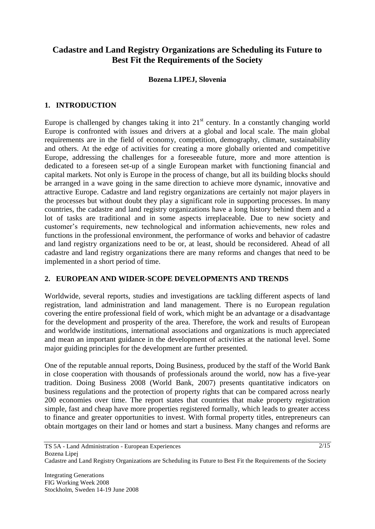# **Cadastre and Land Registry Organizations are Scheduling its Future to Best Fit the Requirements of the Society**

#### **Bozena LIPEJ, Slovenia**

# **1. INTRODUCTION**

Europe is challenged by changes taking it into  $21<sup>st</sup>$  century. In a constantly changing world Europe is confronted with issues and drivers at a global and local scale. The main global requirements are in the field of economy, competition, demography, climate, sustainability and others. At the edge of activities for creating a more globally oriented and competitive Europe, addressing the challenges for a foreseeable future, more and more attention is dedicated to a foreseen set-up of a single European market with functioning financial and capital markets. Not only is Europe in the process of change, but all its building blocks should be arranged in a wave going in the same direction to achieve more dynamic, innovative and attractive Europe. Cadastre and land registry organizations are certainly not major players in the processes but without doubt they play a significant role in supporting processes. In many countries, the cadastre and land registry organizations have a long history behind them and a lot of tasks are traditional and in some aspects irreplaceable. Due to new society and customer's requirements, new technological and information achievements, new roles and functions in the professional environment, the performance of works and behavior of cadastre and land registry organizations need to be or, at least, should be reconsidered. Ahead of all cadastre and land registry organizations there are many reforms and changes that need to be implemented in a short period of time.

# **2. EUROPEAN AND WIDER-SCOPE DEVELOPMENTS AND TRENDS**

Worldwide, several reports, studies and investigations are tackling different aspects of land registration, land administration and land management. There is no European regulation covering the entire professional field of work, which might be an advantage or a disadvantage for the development and prosperity of the area. Therefore, the work and results of European and worldwide institutions, international associations and organizations is much appreciated and mean an important guidance in the development of activities at the national level. Some major guiding principles for the development are further presented.

One of the reputable annual reports, Doing Business, produced by the staff of the World Bank in close cooperation with thousands of professionals around the world, now has a five-year tradition. Doing Business 2008 (World Bank, 2007) presents quantitative indicators on business regulations and the protection of property rights that can be compared across nearly 200 economies over time. The report states that countries that make property registration simple, fast and cheap have more properties registered formally, which leads to greater access to finance and greater opportunities to invest. With formal property titles, entrepreneurs can obtain mortgages on their land or homes and start a business. Many changes and reforms are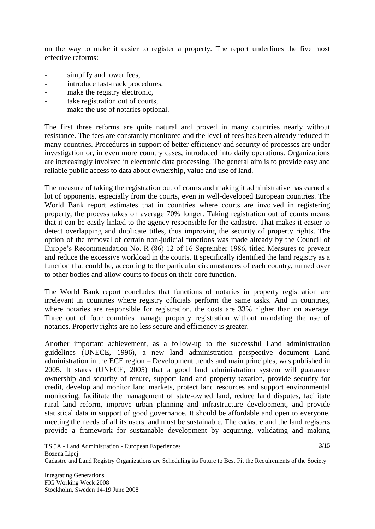on the way to make it easier to register a property. The report underlines the five most effective reforms:

- simplify and lower fees,
- introduce fast-track procedures,
- make the registry electronic,
- take registration out of courts,
- make the use of notaries optional.

The first three reforms are quite natural and proved in many countries nearly without resistance. The fees are constantly monitored and the level of fees has been already reduced in many countries. Procedures in support of better efficiency and security of processes are under investigation or, in even more country cases, introduced into daily operations. Organizations are increasingly involved in electronic data processing. The general aim is to provide easy and reliable public access to data about ownership, value and use of land.

The measure of taking the registration out of courts and making it administrative has earned a lot of opponents, especially from the courts, even in well-developed European countries. The World Bank report estimates that in countries where courts are involved in registering property, the process takes on average 70% longer. Taking registration out of courts means that it can be easily linked to the agency responsible for the cadastre. That makes it easier to detect overlapping and duplicate titles, thus improving the security of property rights. The option of the removal of certain non-judicial functions was made already by the Council of Europe's Recommendation No. R (86) 12 of 16 September 1986, titled Measures to prevent and reduce the excessive workload in the courts. It specifically identified the land registry as a function that could be, according to the particular circumstances of each country, turned over to other bodies and allow courts to focus on their core function.

The World Bank report concludes that functions of notaries in property registration are irrelevant in countries where registry officials perform the same tasks. And in countries, where notaries are responsible for registration, the costs are 33% higher than on average. Three out of four countries manage property registration without mandating the use of notaries. Property rights are no less secure and efficiency is greater.

Another important achievement, as a follow-up to the successful Land administration guidelines (UNECE, 1996), a new land administration perspective document Land administration in the ECE region – Development trends and main principles, was published in 2005. It states (UNECE, 2005) that a good land administration system will guarantee ownership and security of tenure, support land and property taxation, provide security for credit, develop and monitor land markets, protect land resources and support environmental monitoring, facilitate the management of state-owned land, reduce land disputes, facilitate rural land reform, improve urban planning and infrastructure development, and provide statistical data in support of good governance. It should be affordable and open to everyone, meeting the needs of all its users, and must be sustainable. The cadastre and the land registers provide a framework for sustainable development by acquiring, validating and making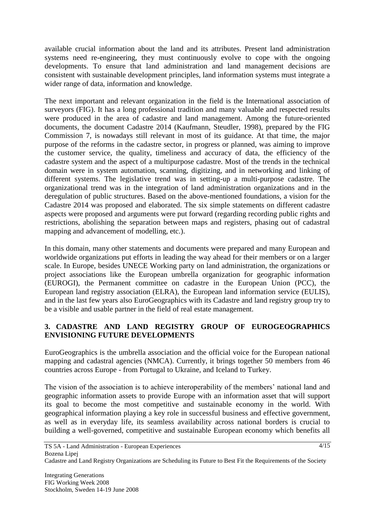available crucial information about the land and its attributes. Present land administration systems need re-engineering, they must continuously evolve to cope with the ongoing developments. To ensure that land administration and land management decisions are consistent with sustainable development principles, land information systems must integrate a wider range of data, information and knowledge.

The next important and relevant organization in the field is the International association of surveyors (FIG). It has a long professional tradition and many valuable and respected results were produced in the area of cadastre and land management. Among the future-oriented documents, the document Cadastre 2014 (Kaufmann, Steudler, 1998), prepared by the FIG Commission 7, is nowadays still relevant in most of its guidance. At that time, the major purpose of the reforms in the cadastre sector, in progress or planned, was aiming to improve the customer service, the quality, timeliness and accuracy of data, the efficiency of the cadastre system and the aspect of a multipurpose cadastre. Most of the trends in the technical domain were in system automation, scanning, digitizing, and in networking and linking of different systems. The legislative trend was in setting-up a multi-purpose cadastre. The organizational trend was in the integration of land administration organizations and in the deregulation of public structures. Based on the above-mentioned foundations, a vision for the Cadastre 2014 was proposed and elaborated. The six simple statements on different cadastre aspects were proposed and arguments were put forward (regarding recording public rights and restrictions, abolishing the separation between maps and registers, phasing out of cadastral mapping and advancement of modelling, etc.).

In this domain, many other statements and documents were prepared and many European and worldwide organizations put efforts in leading the way ahead for their members or on a larger scale. In Europe, besides UNECE Working party on land administration, the organizations or project associations like the European umbrella organization for geographic information (EUROGI), the Permanent committee on cadastre in the European Union (PCC), the European land registry association (ELRA), the European land information service (EULIS), and in the last few years also EuroGeographics with its Cadastre and land registry group try to be a visible and usable partner in the field of real estate management.

# **3. CADASTRE AND LAND REGISTRY GROUP OF EUROGEOGRAPHICS ENVISIONING FUTURE DEVELOPMENTS**

EuroGeographics is the umbrella association and the official voice for the European national mapping and cadastral agencies (NMCA). Currently, it brings together 50 members from 46 countries across Europe - from Portugal to Ukraine, and Iceland to Turkey.

The vision of the association is to achieve interoperability of the members' national land and geographic information assets to provide Europe with an information asset that will support its goal to become the most competitive and sustainable economy in the world. With geographical information playing a key role in successful business and effective government, as well as in everyday life, its seamless availability across national borders is crucial to building a well-governed, competitive and sustainable European economy which benefits all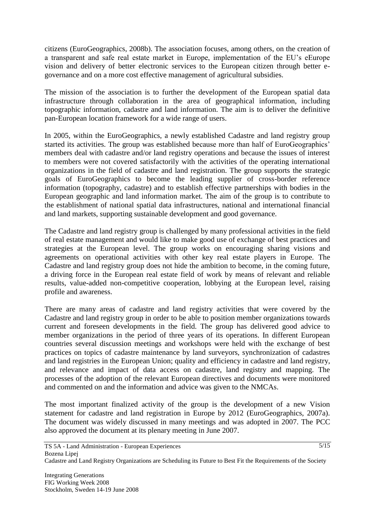citizens (EuroGeographics, 2008b). The association focuses, among others, on the creation of a transparent and safe real estate market in Europe, implementation of the EU's eEurope vision and delivery of better electronic services to the European citizen through better egovernance and on a more cost effective management of agricultural subsidies.

The mission of the association is to further the development of the European spatial data infrastructure through collaboration in the area of geographical information, including topographic information, cadastre and land information. The aim is to deliver the definitive pan-European location framework for a wide range of users.

In 2005, within the EuroGeographics, a newly established Cadastre and land registry group started its activities. The group was established because more than half of EuroGeographics' members deal with cadastre and/or land registry operations and because the issues of interest to members were not covered satisfactorily with the activities of the operating international organizations in the field of cadastre and land registration. The group supports the strategic goals of EuroGeographics to become the leading supplier of cross-border reference information (topography, cadastre) and to establish effective partnerships with bodies in the European geographic and land information market. The aim of the group is to contribute to the establishment of national spatial data infrastructures, national and international financial and land markets, supporting sustainable development and good governance.

The Cadastre and land registry group is challenged by many professional activities in the field of real estate management and would like to make good use of exchange of best practices and strategies at the European level. The group works on encouraging sharing visions and agreements on operational activities with other key real estate players in Europe. The Cadastre and land registry group does not hide the ambition to become, in the coming future, a driving force in the European real estate field of work by means of relevant and reliable results, value-added non-competitive cooperation, lobbying at the European level, raising profile and awareness.

There are many areas of cadastre and land registry activities that were covered by the Cadastre and land registry group in order to be able to position member organizations towards current and foreseen developments in the field. The group has delivered good advice to member organizations in the period of three years of its operations. In different European countries several discussion meetings and workshops were held with the exchange of best practices on topics of cadastre maintenance by land surveyors, synchronization of cadastres and land registries in the European Union; quality and efficiency in cadastre and land registry, and relevance and impact of data access on cadastre, land registry and mapping. The processes of the adoption of the relevant European directives and documents were monitored and commented on and the information and advice was given to the NMCAs.

The most important finalized activity of the group is the development of a new Vision statement for cadastre and land registration in Europe by 2012 (EuroGeographics, 2007a). The document was widely discussed in many meetings and was adopted in 2007. The PCC also approved the document at its plenary meeting in June 2007.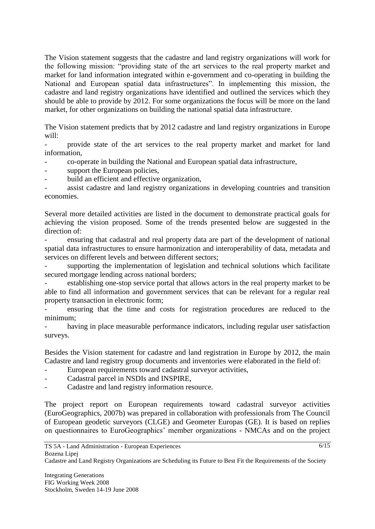The Vision statement suggests that the cadastre and land registry organizations will work for the following mission: "providing state of the art services to the real property market and market for land information integrated within e-government and co-operating in building the National and European spatial data infrastructures". In implementing this mission, the cadastre and land registry organizations have identified and outlined the services which they should be able to provide by 2012. For some organizations the focus will be more on the land market, for other organizations on building the national spatial data infrastructure.

The Vision statement predicts that by 2012 cadastre and land registry organizations in Europe will:

- provide state of the art services to the real property market and market for land information,

- co-operate in building the National and European spatial data infrastructure,
- support the European policies,
- build an efficient and effective organization,

assist cadastre and land registry organizations in developing countries and transition economies.

Several more detailed activities are listed in the document to demonstrate practical goals for achieving the vision proposed. Some of the trends presented below are suggested in the direction of:

- ensuring that cadastral and real property data are part of the development of national spatial data infrastructures to ensure harmonization and interoperability of data, metadata and services on different levels and between different sectors;

supporting the implementation of legislation and technical solutions which facilitate secured mortgage lending across national borders;

establishing one-stop service portal that allows actors in the real property market to be able to find all information and government services that can be relevant for a regular real property transaction in electronic form;

ensuring that the time and costs for registration procedures are reduced to the minimum;

having in place measurable performance indicators, including regular user satisfaction surveys.

Besides the Vision statement for cadastre and land registration in Europe by 2012, the main Cadastre and land registry group documents and inventories were elaborated in the field of:

- European requirements toward cadastral surveyor activities,
- Cadastral parcel in NSDIs and INSPIRE,
- Cadastre and land registry information resource.

The project report on European requirements toward cadastral surveyor activities (EuroGeographics, 2007b) was prepared in collaboration with professionals from The Council of European geodetic surveyors (CLGE) and Geometer Europas (GE). It is based on replies on questionnaires to EuroGeographics' member organizations - NMCAs and on the project

Cadastre and Land Registry Organizations are Scheduling its Future to Best Fit the Requirements of the Society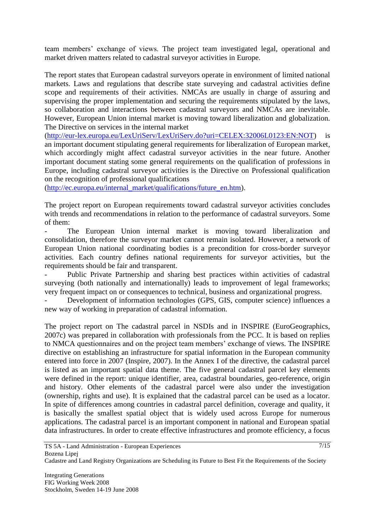team members' exchange of views. The project team investigated legal, operational and market driven matters related to cadastral surveyor activities in Europe.

The report states that European cadastral surveyors operate in environment of limited national markets. Laws and regulations that describe state surveying and cadastral activities define scope and requirements of their activities. NMCAs are usually in charge of assuring and supervising the proper implementation and securing the requirements stipulated by the laws, so collaboration and interactions between cadastral surveyors and NMCAs are inevitable. However, European Union internal market is moving toward liberalization and globalization. The Directive on services in the internal market

[\(http://eur-lex.europa.eu/LexUriServ/LexUriServ.do?uri=CELEX:32006L0123:EN:NOT\)](http://eur-lex.europa.eu/LexUriServ/LexUriServ.do?uri=CELEX:32006L0123:EN:NOT) is an important document stipulating general requirements for liberalization of European market, which accordingly might affect cadastral surveyor activities in the near future. Another important document stating some general requirements on the qualification of professions in Europe, including cadastral surveyor activities is the Directive on Professional qualification on the recognition of professional qualifications

[\(http://ec.europa.eu/internal\\_market/qualifications/future\\_en.htm\)](http://ec.europa.eu/internal_market/qualifications/future_en.htm).

The project report on European requirements toward cadastral surveyor activities concludes with trends and recommendations in relation to the performance of cadastral surveyors. Some of them:

The European Union internal market is moving toward liberalization and consolidation, therefore the surveyor market cannot remain isolated. However, a network of European Union national coordinating bodies is a precondition for cross-border surveyor activities. Each country defines national requirements for surveyor activities, but the requirements should be fair and transparent.

Public Private Partnership and sharing best practices within activities of cadastral surveying (both nationally and internationally) leads to improvement of legal frameworks; very frequent impact on or consequences to technical, business and organizational progress.

Development of information technologies (GPS, GIS, computer science) influences a new way of working in preparation of cadastral information.

The project report on The cadastral parcel in NSDIs and in INSPIRE (EuroGeographics, 2007c) was prepared in collaboration with professionals from the PCC. It is based on replies to NMCA questionnaires and on the project team members' exchange of views. The INSPIRE directive on establishing an infrastructure for spatial information in the European community entered into force in 2007 (Inspire, 2007). In the Annex I of the directive, the cadastral parcel is listed as an important spatial data theme. The five general cadastral parcel key elements were defined in the report: unique identifier, area, cadastral boundaries, geo-reference, origin and history. Other elements of the cadastral parcel were also under the investigation (ownership, rights and use). It is explained that the cadastral parcel can be used as a locator. In spite of differences among countries in cadastral parcel definition, coverage and quality, it is basically the smallest spatial object that is widely used across Europe for numerous applications. The cadastral parcel is an important component in national and European spatial data infrastructures. In order to create effective infrastructures and promote efficiency, a focus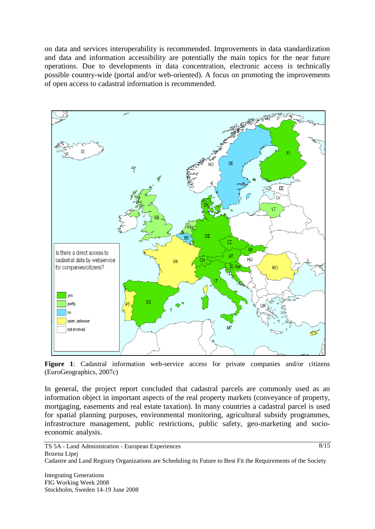on data and services interoperability is recommended. Improvements in data standardization and data and information accessibility are potentially the main topics for the near future operations. Due to developments in data concentration, electronic access is technically possible country-wide (portal and/or web-oriented). A focus on promoting the improvements of open access to cadastral information is recommended.



**Figure 1**: Cadastral information web-service access for private companies and/or citizens (EuroGeographics, 2007c)

In general, the project report concluded that cadastral parcels are commonly used as an information object in important aspects of the real property markets (conveyance of property, mortgaging, easements and real estate taxation). In many countries a cadastral parcel is used for spatial planning purposes, environmental monitoring, agricultural subsidy programmes, infrastructure management, public restrictions, public safety, geo-marketing and socioeconomic analysis.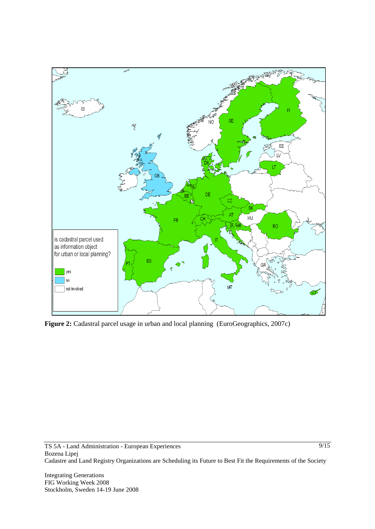

**Figure 2:** Cadastral parcel usage in urban and local planning (EuroGeographics, 2007c)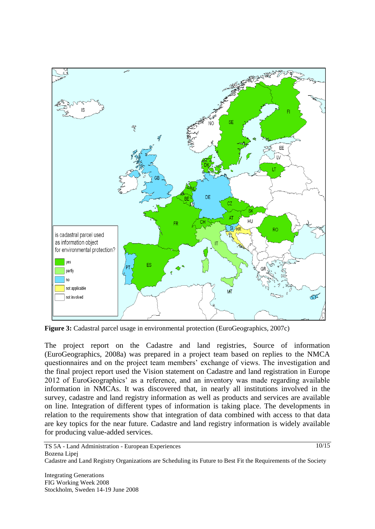

**Figure 3:** Cadastral parcel usage in environmental protection (EuroGeographics, 2007c)

The project report on the Cadastre and land registries, Source of information (EuroGeographics, 2008a) was prepared in a project team based on replies to the NMCA questionnaires and on the project team members' exchange of views. The investigation and the final project report used the Vision statement on Cadastre and land registration in Europe 2012 of EuroGeographics' as a reference, and an inventory was made regarding available information in NMCAs. It was discovered that, in nearly all institutions involved in the survey, cadastre and land registry information as well as products and services are available on line. Integration of different types of information is taking place. The developments in relation to the requirements show that integration of data combined with access to that data are key topics for the near future. Cadastre and land registry information is widely available for producing value-added services.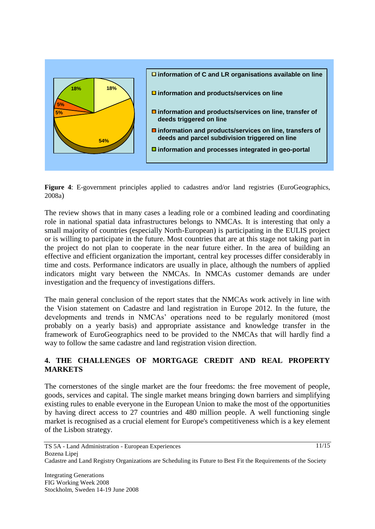



The review shows that in many cases a leading role or a combined leading and coordinating role in national spatial data infrastructures belongs to NMCAs. It is interesting that only a small majority of countries (especially North-European) is participating in the EULIS project or is willing to participate in the future. Most countries that are at this stage not taking part in the project do not plan to cooperate in the near future either. In the area of building an effective and efficient organization the important, central key processes differ considerably in time and costs. Performance indicators are usually in place, although the numbers of applied indicators might vary between the NMCAs. In NMCAs customer demands are under investigation and the frequency of investigations differs.

The main general conclusion of the report states that the NMCAs work actively in line with the Vision statement on Cadastre and land registration in Europe 2012. In the future, the developments and trends in NMCAs' operations need to be regularly monitored (most probably on a yearly basis) and appropriate assistance and knowledge transfer in the framework of EuroGeographics need to be provided to the NMCAs that will hardly find a way to follow the same cadastre and land registration vision direction.

# **4. THE CHALLENGES OF MORTGAGE CREDIT AND REAL PROPERTY MARKETS**

The cornerstones of the single market are the four freedoms: the free movement of people, goods, services and capital. The single market means bringing down barriers and simplifying existing rules to enable everyone in the European Union to make the most of the opportunities by having direct access to 27 countries and 480 million people. A well functioning single market is recognised as a crucial element for Europe's competitiveness which is a key element of the Lisbon strategy.

 $11/15$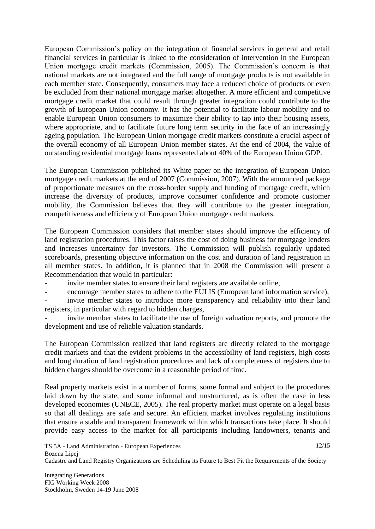European Commission's policy on the integration of financial services in general and retail financial services in particular is linked to the consideration of intervention in the European Union mortgage credit markets (Commission, 2005). The Commission's concern is that national markets are not integrated and the full range of mortgage products is not available in each member state. Consequently, consumers may face a reduced choice of products or even be excluded from their national mortgage market altogether. A more efficient and competitive mortgage credit market that could result through greater integration could contribute to the growth of European Union economy. It has the potential to facilitate labour mobility and to enable European Union consumers to maximize their ability to tap into their housing assets, where appropriate, and to facilitate future long term security in the face of an increasingly ageing population. The European Union mortgage credit markets constitute a crucial aspect of the overall economy of all European Union member states. At the end of 2004, the value of outstanding residential mortgage loans represented about 40% of the European Union GDP.

The European Commission published its White paper on the integration of European Union mortgage credit markets at the end of 2007 (Commission, 2007). With the announced package of proportionate measures on the cross-border supply and funding of mortgage credit, which increase the diversity of products, improve consumer confidence and promote customer mobility, the Commission believes that they will contribute to the greater integration, competitiveness and efficiency of European Union mortgage credit markets.

The European Commission considers that member states should improve the efficiency of land registration procedures. This factor raises the cost of doing business for mortgage lenders and increases uncertainty for investors. The Commission will publish regularly updated scoreboards, presenting objective information on the cost and duration of land registration in all member states. In addition, it is planned that in 2008 the Commission will present a Recommendation that would in particular:

invite member states to ensure their land registers are available online,

encourage member states to adhere to the EULIS (European land information service),

invite member states to introduce more transparency and reliability into their land registers, in particular with regard to hidden charges,

invite member states to facilitate the use of foreign valuation reports, and promote the development and use of reliable valuation standards.

The European Commission realized that land registers are directly related to the mortgage credit markets and that the evident problems in the accessibility of land registers, high costs and long duration of land registration procedures and lack of completeness of registers due to hidden charges should be overcome in a reasonable period of time.

Real property markets exist in a number of forms, some formal and subject to the procedures laid down by the state, and some informal and unstructured, as is often the case in less developed economies (UNECE, 2005). The real property market must operate on a legal basis so that all dealings are safe and secure. An efficient market involves regulating institutions that ensure a stable and transparent framework within which transactions take place. It should provide easy access to the market for all participants including landowners, tenants and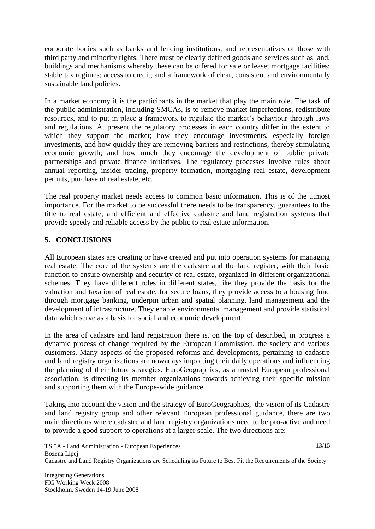corporate bodies such as banks and lending institutions, and representatives of those with third party and minority rights. There must be clearly defined goods and services such as land, buildings and mechanisms whereby these can be offered for sale or lease; mortgage facilities; stable tax regimes; access to credit; and a framework of clear, consistent and environmentally sustainable land policies.

In a market economy it is the participants in the market that play the main role. The task of the public administration, including SMCAs, is to remove market imperfections, redistribute resources, and to put in place a framework to regulate the market's behaviour through laws and regulations. At present the regulatory processes in each country differ in the extent to which they support the market; how they encourage investments, especially foreign investments, and how quickly they are removing barriers and restrictions, thereby stimulating economic growth; and how much they encourage the development of public private partnerships and private finance initiatives. The regulatory processes involve rules about annual reporting, insider trading, property formation, mortgaging real estate, development permits, purchase of real estate, etc.

The real property market needs access to common basic information. This is of the utmost importance. For the market to be successful there needs to be transparency, guarantees to the title to real estate, and efficient and effective cadastre and land registration systems that provide speedy and reliable access by the public to real estate information.

# **5. CONCLUSIONS**

All European states are creating or have created and put into operation systems for managing real estate. The core of the systems are the cadastre and the land register, with their basic function to ensure ownership and security of real estate, organized in different organizational schemes. They have different roles in different states, like they provide the basis for the valuation and taxation of real estate, for secure loans, they provide access to a housing fund through mortgage banking, underpin urban and spatial planning, land management and the development of infrastructure. They enable environmental management and provide statistical data which serve as a basis for social and economic development.

In the area of cadastre and land registration there is, on the top of described, in progress a dynamic process of change required by the European Commission, the society and various customers. Many aspects of the proposed reforms and developments, pertaining to cadastre and land registry organizations are nowadays impacting their daily operations and influencing the planning of their future strategies. EuroGeographics, as a trusted European professional association, is directing its member organizations towards achieving their specific mission and supporting them with the Europe-wide guidance.

Taking into account the vision and the strategy of EuroGeographics, the vision of its Cadastre and land registry group and other relevant European professional guidance, there are two main directions where cadastre and land registry organizations need to be pro-active and need to provide a good support to operations at a larger scale. The two directions are: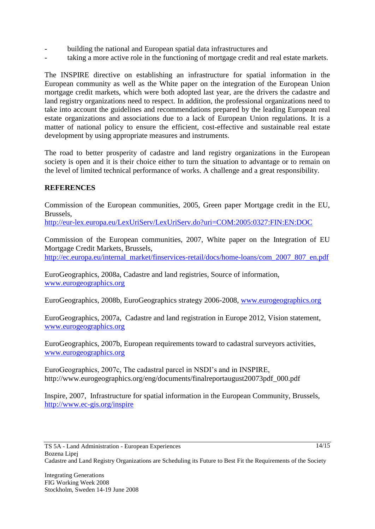- building the national and European spatial data infrastructures and
- taking a more active role in the functioning of mortgage credit and real estate markets.

The INSPIRE directive on establishing an infrastructure for spatial information in the European community as well as the White paper on the integration of the European Union mortgage credit markets, which were both adopted last year, are the drivers the cadastre and land registry organizations need to respect. In addition, the professional organizations need to take into account the guidelines and recommendations prepared by the leading European real estate organizations and associations due to a lack of European Union regulations. It is a matter of national policy to ensure the efficient, cost-effective and sustainable real estate development by using appropriate measures and instruments.

The road to better prosperity of cadastre and land registry organizations in the European society is open and it is their choice either to turn the situation to advantage or to remain on the level of limited technical performance of works. A challenge and a great responsibility.

# **REFERENCES**

Commission of the European communities, 2005, Green paper Mortgage credit in the EU, Brussels,

<http://eur-lex.europa.eu/LexUriServ/LexUriServ.do?uri=COM:2005:0327:FIN:EN:DOC>

Commission of the European communities, 2007, White paper on the Integration of EU Mortgage Credit Markets, Brussels,

[http://ec.europa.eu/internal\\_market/finservices-retail/docs/home-loans/com\\_2007\\_807\\_en.pdf](http://ec.europa.eu/internal_market/finservices-retail/docs/home-loans/com_2007_807_en.pdf)

EuroGeographics, 2008a, Cadastre and land registries, Source of information, [www.eurogeographics.org](http://www.eurogeographics.org/)

EuroGeographics, 2008b, EuroGeographics strategy 2006-2008, [www.eurogeographics.org](http://www.eurogeographics.org/)

EuroGeographics, 2007a, Cadastre and land registration in Europe 2012, Vision statement, [www.eurogeographics.org](http://www.eurogeographics.org/)

EuroGeographics, 2007b, European requirements toward to cadastral surveyors activities, [www.eurogeographics.org](http://www.eurogeographics.org/) 

EuroGeographics, 2007c, The cadastral parcel in NSDI's and in INSPIRE, http://www.eurogeographics.org/eng/documents/finalreportaugust20073pdf\_000.pdf

Inspire, 2007, Infrastructure for spatial information in the European Community, Brussels, <http://www.ec-gis.org/inspire>